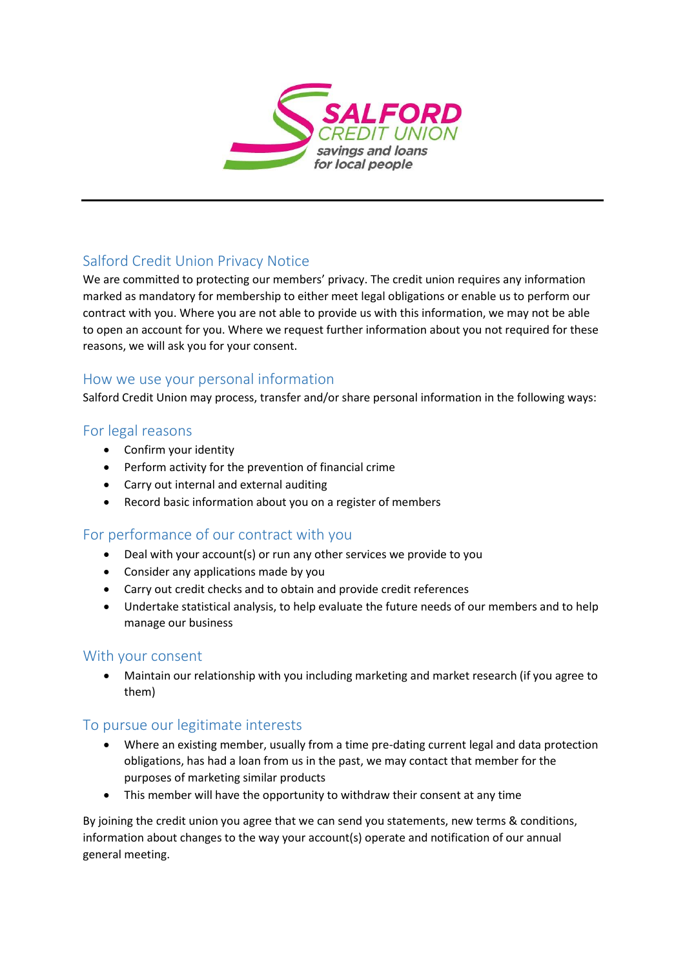

# Salford Credit Union Privacy Notice

We are committed to protecting our members' privacy. The credit union requires any information marked as mandatory for membership to either meet legal obligations or enable us to perform our contract with you. Where you are not able to provide us with this information, we may not be able to open an account for you. Where we request further information about you not required for these reasons, we will ask you for your consent.

### How we use your personal information

Salford Credit Union may process, transfer and/or share personal information in the following ways:

### For legal reasons

- Confirm your identity
- Perform activity for the prevention of financial crime
- Carry out internal and external auditing
- Record basic information about you on a register of members

## For performance of our contract with you

- Deal with your account(s) or run any other services we provide to you
- Consider any applications made by you
- Carry out credit checks and to obtain and provide credit references
- Undertake statistical analysis, to help evaluate the future needs of our members and to help manage our business

#### With your consent

 Maintain our relationship with you including marketing and market research (if you agree to them)

#### To pursue our legitimate interests

- Where an existing member, usually from a time pre-dating current legal and data protection obligations, has had a loan from us in the past, we may contact that member for the purposes of marketing similar products
- This member will have the opportunity to withdraw their consent at any time

By joining the credit union you agree that we can send you statements, new terms & conditions, information about changes to the way your account(s) operate and notification of our annual general meeting.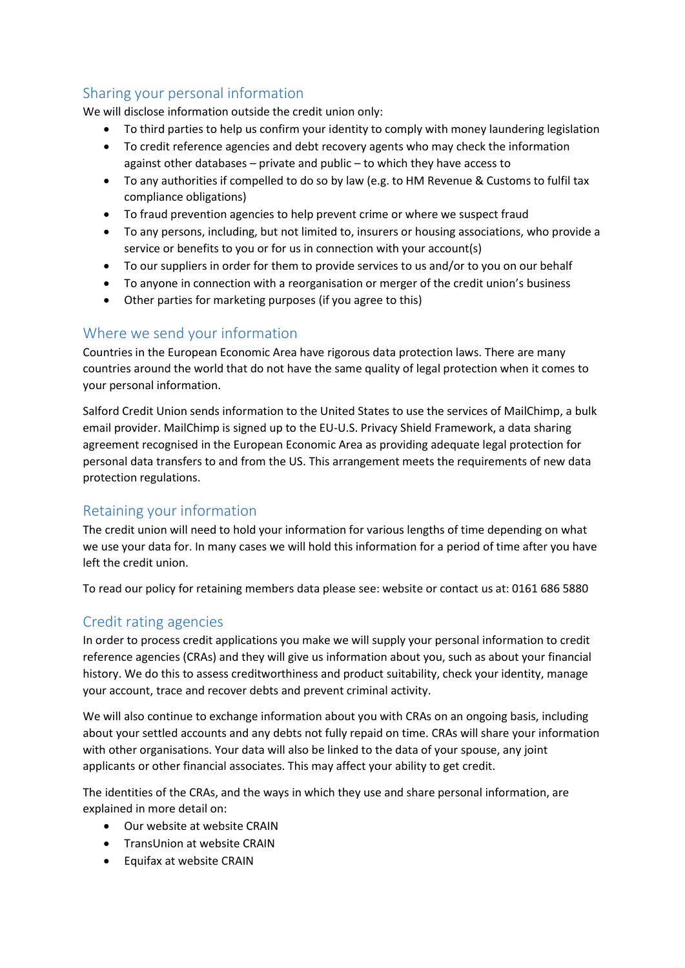# Sharing your personal information

We will disclose information outside the credit union only:

- To third parties to help us confirm your identity to comply with money laundering legislation
- To credit reference agencies and debt recovery agents who may check the information against other databases – private and public – to which they have access to
- To any authorities if compelled to do so by law (e.g. to HM Revenue & Customs to fulfil tax compliance obligations)
- To fraud prevention agencies to help prevent crime or where we suspect fraud
- To any persons, including, but not limited to, insurers or housing associations, who provide a service or benefits to you or for us in connection with your account(s)
- To our suppliers in order for them to provide services to us and/or to you on our behalf
- To anyone in connection with a reorganisation or merger of the credit union's business
- Other parties for marketing purposes (if you agree to this)

## Where we send your information

Countries in the European Economic Area have rigorous data protection laws. There are many countries around the world that do not have the same quality of legal protection when it comes to your personal information.

Salford Credit Union sends information to the United States to use the services of MailChimp, a bulk email provider. MailChimp is signed up to the EU-U.S. Privacy Shield Framework, a data sharing agreement recognised in the European Economic Area as providing adequate legal protection for personal data transfers to and from the US. This arrangement meets the requirements of new data protection regulations.

## Retaining your information

The credit union will need to hold your information for various lengths of time depending on what we use your data for. In many cases we will hold this information for a period of time after you have left the credit union.

To read our policy for retaining members data please see: website or contact us at: 0161 686 5880

## Credit rating agencies

In order to process credit applications you make we will supply your personal information to credit reference agencies (CRAs) and they will give us information about you, such as about your financial history. We do this to assess creditworthiness and product suitability, check your identity, manage your account, trace and recover debts and prevent criminal activity.

We will also continue to exchange information about you with CRAs on an ongoing basis, including about your settled accounts and any debts not fully repaid on time. CRAs will share your information with other organisations. Your data will also be linked to the data of your spouse, any joint applicants or other financial associates. This may affect your ability to get credit.

The identities of the CRAs, and the ways in which they use and share personal information, are explained in more detail on:

- Our website at website CRAIN
- TransUnion at website CRAIN
- Equifax at website CRAIN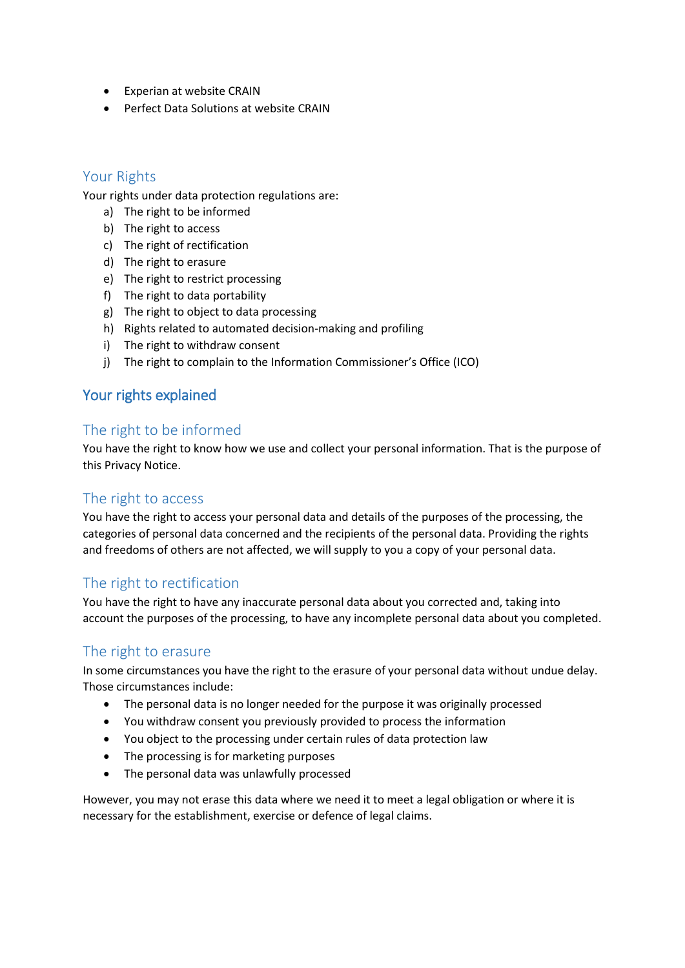- Experian at website CRAIN
- Perfect Data Solutions at website CRAIN

#### Your Rights

Your rights under data protection regulations are:

- a) The right to be informed
- b) The right to access
- c) The right of rectification
- d) The right to erasure
- e) The right to restrict processing
- f) The right to data portability
- g) The right to object to data processing
- h) Rights related to automated decision-making and profiling
- i) The right to withdraw consent
- j) The right to complain to the Information Commissioner's Office (ICO)

## Your rights explained

#### The right to be informed

You have the right to know how we use and collect your personal information. That is the purpose of this Privacy Notice.

## The right to access

You have the right to access your personal data and details of the purposes of the processing, the categories of personal data concerned and the recipients of the personal data. Providing the rights and freedoms of others are not affected, we will supply to you a copy of your personal data.

## The right to rectification

You have the right to have any inaccurate personal data about you corrected and, taking into account the purposes of the processing, to have any incomplete personal data about you completed.

#### The right to erasure

In some circumstances you have the right to the erasure of your personal data without undue delay. Those circumstances include:

- The personal data is no longer needed for the purpose it was originally processed
- You withdraw consent you previously provided to process the information
- You object to the processing under certain rules of data protection law
- The processing is for marketing purposes
- The personal data was unlawfully processed

However, you may not erase this data where we need it to meet a legal obligation or where it is necessary for the establishment, exercise or defence of legal claims.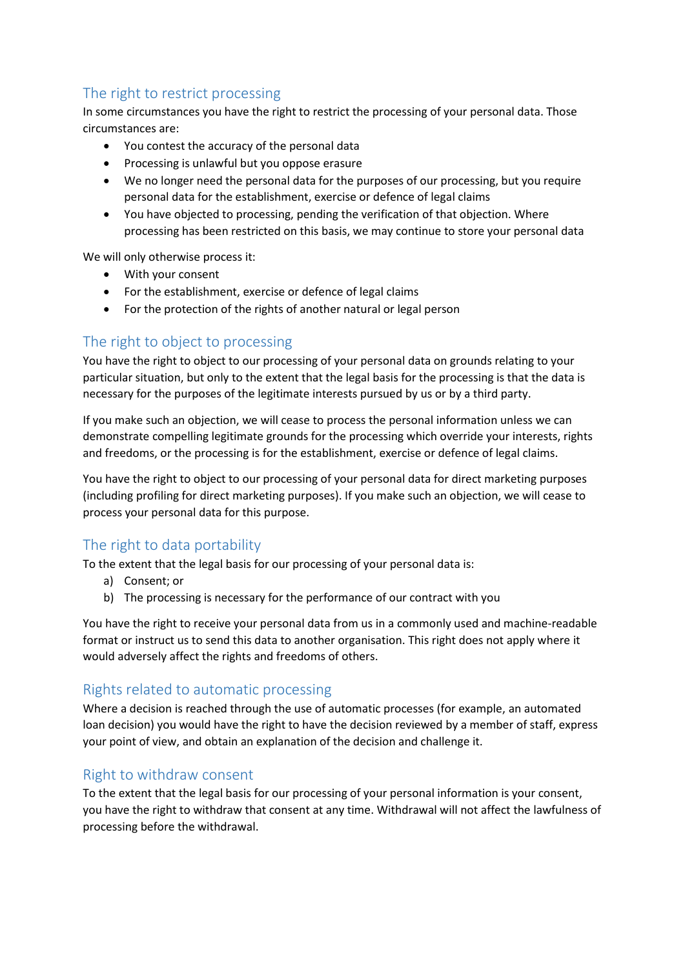# The right to restrict processing

In some circumstances you have the right to restrict the processing of your personal data. Those circumstances are:

- You contest the accuracy of the personal data
- Processing is unlawful but you oppose erasure
- We no longer need the personal data for the purposes of our processing, but you require personal data for the establishment, exercise or defence of legal claims
- You have objected to processing, pending the verification of that objection. Where processing has been restricted on this basis, we may continue to store your personal data

We will only otherwise process it:

- With your consent
- For the establishment, exercise or defence of legal claims
- For the protection of the rights of another natural or legal person

## The right to object to processing

You have the right to object to our processing of your personal data on grounds relating to your particular situation, but only to the extent that the legal basis for the processing is that the data is necessary for the purposes of the legitimate interests pursued by us or by a third party.

If you make such an objection, we will cease to process the personal information unless we can demonstrate compelling legitimate grounds for the processing which override your interests, rights and freedoms, or the processing is for the establishment, exercise or defence of legal claims.

You have the right to object to our processing of your personal data for direct marketing purposes (including profiling for direct marketing purposes). If you make such an objection, we will cease to process your personal data for this purpose.

## The right to data portability

To the extent that the legal basis for our processing of your personal data is:

- a) Consent; or
- b) The processing is necessary for the performance of our contract with you

You have the right to receive your personal data from us in a commonly used and machine-readable format or instruct us to send this data to another organisation. This right does not apply where it would adversely affect the rights and freedoms of others.

#### Rights related to automatic processing

Where a decision is reached through the use of automatic processes (for example, an automated loan decision) you would have the right to have the decision reviewed by a member of staff, express your point of view, and obtain an explanation of the decision and challenge it.

## Right to withdraw consent

To the extent that the legal basis for our processing of your personal information is your consent, you have the right to withdraw that consent at any time. Withdrawal will not affect the lawfulness of processing before the withdrawal.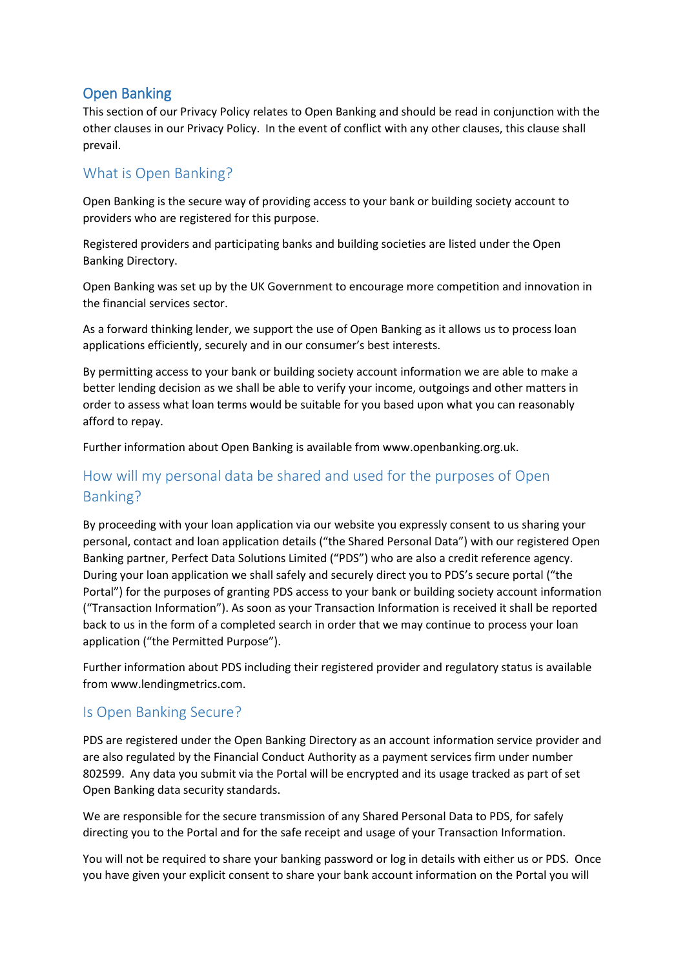## Open Banking

This section of our Privacy Policy relates to Open Banking and should be read in conjunction with the other clauses in our Privacy Policy. In the event of conflict with any other clauses, this clause shall prevail.

## What is Open Banking?

Open Banking is the secure way of providing access to your bank or building society account to providers who are registered for this purpose.

Registered providers and participating banks and building societies are listed under the Open Banking Directory.

Open Banking was set up by the UK Government to encourage more competition and innovation in the financial services sector.

As a forward thinking lender, we support the use of Open Banking as it allows us to process loan applications efficiently, securely and in our consumer's best interests.

By permitting access to your bank or building society account information we are able to make a better lending decision as we shall be able to verify your income, outgoings and other matters in order to assess what loan terms would be suitable for you based upon what you can reasonably afford to repay.

Further information about Open Banking is available from www.openbanking.org.uk.

# How will my personal data be shared and used for the purposes of Open Banking?

By proceeding with your loan application via our website you expressly consent to us sharing your personal, contact and loan application details ("the Shared Personal Data") with our registered Open Banking partner, Perfect Data Solutions Limited ("PDS") who are also a credit reference agency. During your loan application we shall safely and securely direct you to PDS's secure portal ("the Portal") for the purposes of granting PDS access to your bank or building society account information ("Transaction Information"). As soon as your Transaction Information is received it shall be reported back to us in the form of a completed search in order that we may continue to process your loan application ("the Permitted Purpose").

Further information about PDS including their registered provider and regulatory status is available from www.lendingmetrics.com.

#### Is Open Banking Secure?

PDS are registered under the Open Banking Directory as an account information service provider and are also regulated by the Financial Conduct Authority as a payment services firm under number 802599. Any data you submit via the Portal will be encrypted and its usage tracked as part of set Open Banking data security standards.

We are responsible for the secure transmission of any Shared Personal Data to PDS, for safely directing you to the Portal and for the safe receipt and usage of your Transaction Information.

You will not be required to share your banking password or log in details with either us or PDS. Once you have given your explicit consent to share your bank account information on the Portal you will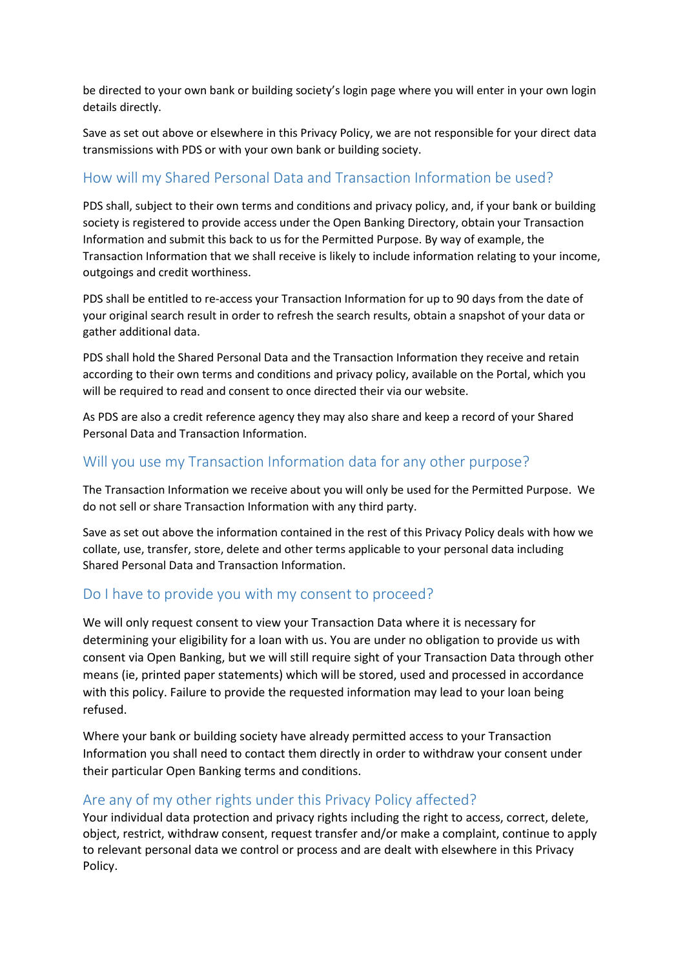be directed to your own bank or building society's login page where you will enter in your own login details directly.

Save as set out above or elsewhere in this Privacy Policy, we are not responsible for your direct data transmissions with PDS or with your own bank or building society.

## How will my Shared Personal Data and Transaction Information be used?

PDS shall, subject to their own terms and conditions and privacy policy, and, if your bank or building society is registered to provide access under the Open Banking Directory, obtain your Transaction Information and submit this back to us for the Permitted Purpose. By way of example, the Transaction Information that we shall receive is likely to include information relating to your income, outgoings and credit worthiness.

PDS shall be entitled to re-access your Transaction Information for up to 90 days from the date of your original search result in order to refresh the search results, obtain a snapshot of your data or gather additional data.

PDS shall hold the Shared Personal Data and the Transaction Information they receive and retain according to their own terms and conditions and privacy policy, available on the Portal, which you will be required to read and consent to once directed their via our website.

As PDS are also a credit reference agency they may also share and keep a record of your Shared Personal Data and Transaction Information.

## Will you use my Transaction Information data for any other purpose?

The Transaction Information we receive about you will only be used for the Permitted Purpose. We do not sell or share Transaction Information with any third party.

Save as set out above the information contained in the rest of this Privacy Policy deals with how we collate, use, transfer, store, delete and other terms applicable to your personal data including Shared Personal Data and Transaction Information.

## Do I have to provide you with my consent to proceed?

We will only request consent to view your Transaction Data where it is necessary for determining your eligibility for a loan with us. You are under no obligation to provide us with consent via Open Banking, but we will still require sight of your Transaction Data through other means (ie, printed paper statements) which will be stored, used and processed in accordance with this policy. Failure to provide the requested information may lead to your loan being refused.

Where your bank or building society have already permitted access to your Transaction Information you shall need to contact them directly in order to withdraw your consent under their particular Open Banking terms and conditions.

#### Are any of my other rights under this Privacy Policy affected?

Your individual data protection and privacy rights including the right to access, correct, delete, object, restrict, withdraw consent, request transfer and/or make a complaint, continue to apply to relevant personal data we control or process and are dealt with elsewhere in this Privacy Policy.